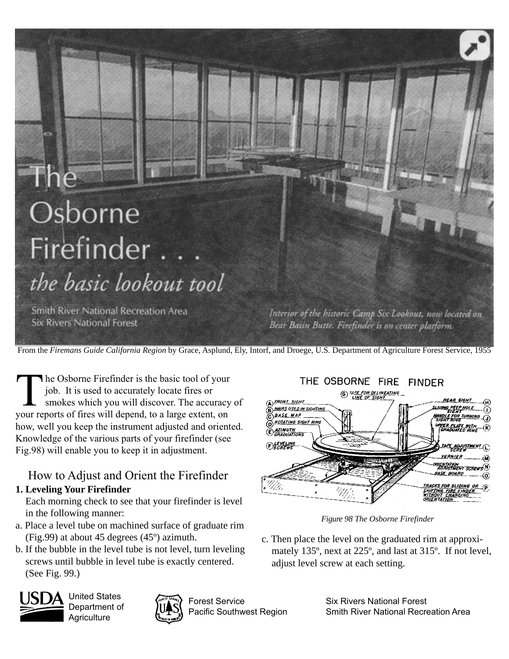# Osborne Firefinder. the basic lookout tool

**Smith River National Recreation Area Six Rivers National Forest** 

Interior of the historic Camp Six Lookout, now located on Bear Basin Butte. Firefinder is on center platform.

From the *Firemans Guide California Region* by Grace, Asplund, Ely, Intorf, and Droege, U.S. Department of Agriculture Forest Service, 1955

The Osborne Firefinder is the basic tool of your<br>job. It is used to accurately locate fires or<br>smokes which you will discover. The accuracy<br>your reports of fires will depend to a large extent on job. It is used to accurately locate fires or smokes which you will discover. The accuracy of your reports of fires will depend, to a large extent, on how, well you keep the instrument adjusted and oriented. Knowledge of the various parts of your firefinder (see Fig.98) will enable you to keep it in adjustment.

## How to Adjust and Orient the Firefinder

## **1. Leveling Your Firefinder**

Each morning check to see that your firefinder is level in the following manner:

- a. Place a level tube on machined surface of graduate rim (Fig.99) at about 45 degrees (45º) azimuth.
- b. If the bubble in the level tube is not level, turn leveling screws until bubble in level tube is exactly centered. (See Fig. 99.)



United States Department of **Agriculture** 



Forest Service Pacific Southwest Region

THE OSBORNE FIRE FINDER **6** HAPE FOR DELINEATING A) FRONT SIGHT **HEAR SIGHT HAIRS USED IN SIGHTING** PEEP HOI Ω BASE MAP 1 TURNIA <u> ROTATING SIGHT RIN</u> **UPPER PLATE IMUTH** APE ADJUSTMENT ( VERNIER *ASE BOARD* R SLIDING OR

*Figure 98 The Osborne Firefinder*

c. Then place the level on the graduated rim at approximately 135º, next at 225º, and last at 315º. If not level, adjust level screw at each setting.

> Six Rivers National Forest Smith River National Recreation Area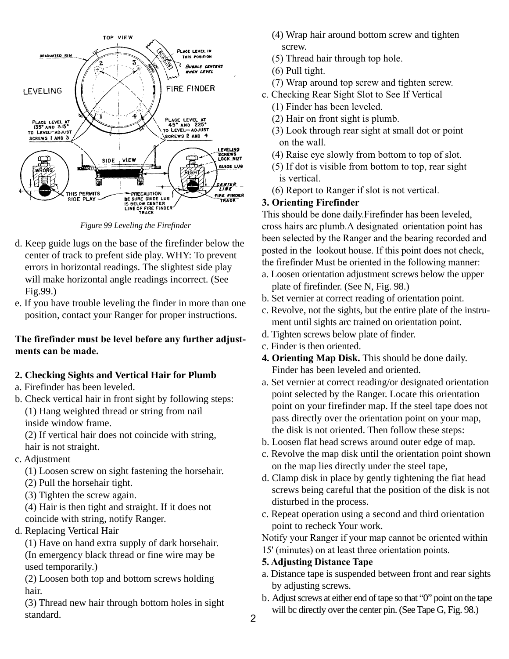

*Figure 99 Leveling the Firefinder*

- d. Keep guide lugs on the base of the firefinder below the center of track to prefent side play. WHY: To prevent errors in horizontal readings. The slightest side play will make horizontal angle readings incorrect. (See Fig.99.)
- e. If you have trouble leveling the finder in more than one position, contact your Ranger for proper instructions.

#### **The firefinder must be level before any further adjustments can be made.**

## **2. Checking Sights and Vertical Hair for Plumb**

- a. Firefinder has been leveled.
- b. Check vertical hair in front sight by following steps: (1) Hang weighted thread or string from nail inside window frame.

(2) If vertical hair does not coincide with string, hair is not straight.

c. Adjustment

(1) Loosen screw on sight fastening the horsehair.

- (2) Pull the horsehair tight.
- (3) Tighten the screw again.

(4) Hair is then tight and straight. If it does not coincide with string, notify Ranger.

d. Replacing Vertical Hair

(1) Have on hand extra supply of dark horsehair. (In emergency black thread or fine wire may be used temporarily.)

(2) Loosen both top and bottom screws holding hair.

(3) Thread new hair through bottom holes in sight standard.

- (4) Wrap hair around bottom screw and tighten screw.
- (5) Thread hair through top hole.
- (6) Pull tight.
- (7) Wrap around top screw and tighten screw.
- c. Checking Rear Sight Slot to See If Vertical
	- (1) Finder has been leveled.
	- (2) Hair on front sight is plumb.
	- (3) Look through rear sight at small dot or point on the wall.
	- (4) Raise eye slowly from bottom to top of slot.
	- (5) If dot is visible from bottom to top, rear sight is vertical.
	- (6) Report to Ranger if slot is not vertical.

## **3. Orienting Firefinder**

This should be done daily.Firefinder has been leveled, cross hairs arc plumb.A designated orientation point has been selected by the Ranger and the bearing recorded and posted in the lookout house. If this point does not check, the firefinder Must be oriented in the following manner:

- a. Loosen orientation adjustment screws below the upper plate of firefinder. (See N, Fig. 98.)
- b. Set vernier at correct reading of orientation point.
- c. Revolve, not the sights, but the entire plate of the instrument until sights arc trained on orientation point.
- d. Tighten screws below plate of finder.
- c. Finder is then oriented.
- **4. Orienting Map Disk.** This should be done daily. Finder has been leveled and oriented.
- a. Set vernier at correct reading/or designated orientation point selected by the Ranger. Locate this orientation point on your firefinder map. If the steel tape does not pass directly over the orientation point on your map, the disk is not oriented. Then follow these steps:
- b. Loosen flat head screws around outer edge of map.
- c. Revolve the map disk until the orientation point shown on the map lies directly under the steel tape,
- d. Clamp disk in place by gently tightening the fiat head screws being careful that the position of the disk is not disturbed in the process.
- c. Repeat operation using a second and third orientation point to recheck Your work.

Notify your Ranger if your map cannot be oriented within 15' (minutes) on at least three orientation points.

### **5. Adjusting Distance Tape**

- a. Distance tape is suspended between front and rear sights by adjusting screws.
- b. Adjust screws at either end of tape so that "0" point on the tape will bc directly over the center pin. (See Tape G, Fig. 98.)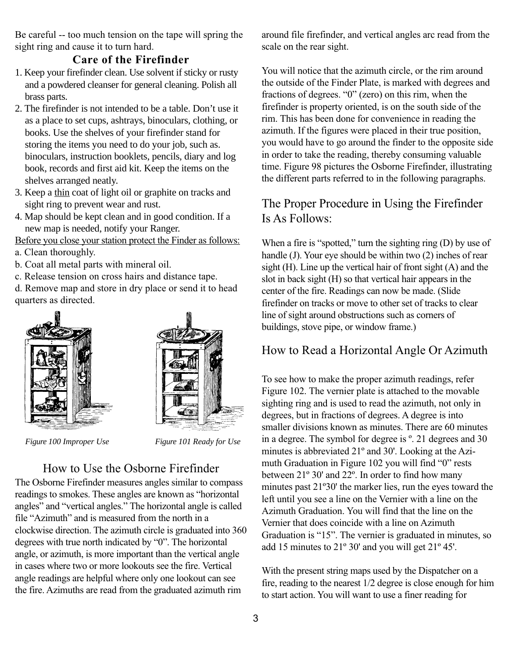Be careful -- too much tension on the tape will spring the sight ring and cause it to turn hard.

## **Care of the Firefinder**

- 1. Keep your firefinder clean. Use solvent if sticky or rusty and a powdered cleanser for general cleaning. Polish all brass parts.
- 2. The firefinder is not intended to be a table. Don't use it as a place to set cups, ashtrays, binoculars, clothing, or books. Use the shelves of your firefinder stand for storing the items you need to do your job, such as. binoculars, instruction booklets, pencils, diary and log book, records and first aid kit. Keep the items on the shelves arranged neatly.
- 3. Keep a thin coat of light oil or graphite on tracks and sight ring to prevent wear and rust.
- 4. Map should be kept clean and in good condition. If a new map is needed, notify your Ranger.

Before you close your station protect the Finder as follows:

- a. Clean thoroughly.
- b. Coat all metal parts with mineral oil.
- c. Release tension on cross hairs and distance tape.

d. Remove map and store in dry place or send it to head quarters as directed.





*Figure 100 Improper Use Figure 101 Ready for Use*

## How to Use the Osborne Firefinder

The Osborne Firefinder measures angles similar to compass readings to smokes. These angles are known as "horizontal angles" and "vertical angles." The horizontal angle is called file "Azimuth" and is measured from the north in a clockwise direction. The azimuth circle is graduated into 360 degrees with true north indicated by "0". The horizontal angle, or azimuth, is more important than the vertical angle in cases where two or more lookouts see the fire. Vertical angle readings are helpful where only one lookout can see the fire. Azimuths are read from the graduated azimuth rim

around file firefinder, and vertical angles arc read from the scale on the rear sight.

You will notice that the azimuth circle, or the rim around the outside of the Finder Plate, is marked with degrees and fractions of degrees. "0" (zero) on this rim, when the firefinder is property oriented, is on the south side of the rim. This has been done for convenience in reading the azimuth. If the figures were placed in their true position, you would have to go around the finder to the opposite side in order to take the reading, thereby consuming valuable time. Figure 98 pictures the Osborne Firefinder, illustrating the different parts referred to in the following paragraphs.

## The Proper Procedure in Using the Firefinder Is As Follows:

When a fire is "spotted," turn the sighting ring (D) by use of handle (J). Your eye should be within two (2) inches of rear sight (H). Line up the vertical hair of front sight (A) and the slot in back sight (H) so that vertical hair appears in the center of the fire. Readings can now be made. (Slide firefinder on tracks or move to other set of tracks to clear line of sight around obstructions such as corners of buildings, stove pipe, or window frame.)

## How to Read a Horizontal Angle Or Azimuth

To see how to make the proper azimuth readings, refer Figure 102. The vernier plate is attached to the movable sighting ring and is used to read the azimuth, not only in degrees, but in fractions of degrees. A degree is into smaller divisions known as minutes. There are 60 minutes in a degree. The symbol for degree is º. 21 degrees and 30 minutes is abbreviated 21º and 30'. Looking at the Azimuth Graduation in Figure 102 you will find "0" rests between 21º 30' and 22º. In order to find how many minutes past 21º30' the marker lies, run the eyes toward the left until you see a line on the Vernier with a line on the Azimuth Graduation. You will find that the line on the Vernier that does coincide with a line on Azimuth Graduation is "15". The vernier is graduated in minutes, so add 15 minutes to 21º 30' and you will get 21º 45'.

With the present string maps used by the Dispatcher on a fire, reading to the nearest 1/2 degree is close enough for him to start action. You will want to use a finer reading for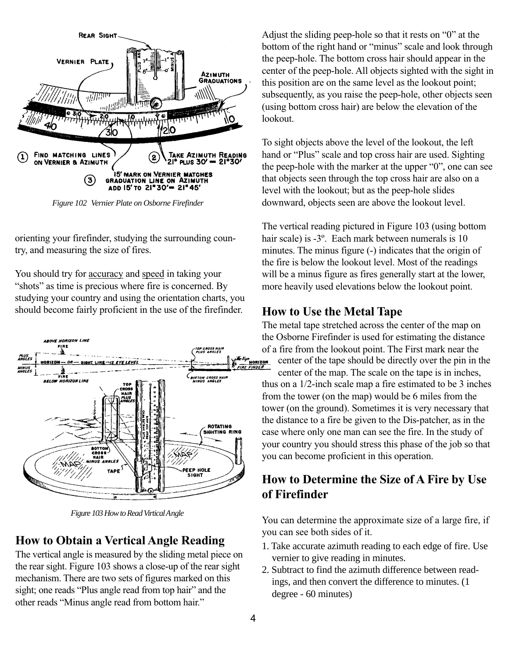

*Figure 102 Vernier Plate on Osborne Firefinder*

orienting your firefinder, studying the surrounding country, and measuring the size of fires.

You should try for accuracy and speed in taking your "shots" as time is precious where fire is concerned. By studying your country and using the orientation charts, you should become fairly proficient in the use of the firefinder.



*Figure 103 How to Read Virtical Angle*

#### **How to Obtain a Vertical Angle Reading**

The vertical angle is measured by the sliding metal piece on the rear sight. Figure 103 shows a close-up of the rear sight mechanism. There are two sets of figures marked on this sight; one reads "Plus angle read from top hair" and the other reads "Minus angle read from bottom hair."

Adjust the sliding peep-hole so that it rests on "0" at the bottom of the right hand or "minus" scale and look through the peep-hole. The bottom cross hair should appear in the center of the peep-hole. All objects sighted with the sight in this position are on the same level as the lookout point; subsequently, as you raise the peep-hole, other objects seen (using bottom cross hair) are below the elevation of the lookout.

To sight objects above the level of the lookout, the left hand or "Plus" scale and top cross hair are used. Sighting the peep-hole with the marker at the upper "0", one can see that objects seen through the top cross hair are also on a level with the lookout; but as the peep-hole slides downward, objects seen are above the lookout level.

The vertical reading pictured in Figure 103 (using bottom hair scale) is -3<sup>°</sup>. Each mark between numerals is 10 minutes. The minus figure (-) indicates that the origin of the fire is below the lookout level. Most of the readings will be a minus figure as fires generally start at the lower, more heavily used elevations below the lookout point.

#### **How to Use the Metal Tape**

The metal tape stretched across the center of the map on the Osborne Firefinder is used for estimating the distance of a fire from the lookout point. The First mark near the<br>center of the tape should be directly over the pin in the first mark near the center of the tape should be directly over the pin in the center of the tape should be directly over the pin in the center of the map. The scale on the tape is in inches,

thus on a 1/2-inch scale map a fire estimated to be 3 inches from the tower (on the map) would be 6 miles from the tower (on the ground). Sometimes it is very necessary that the distance to a fire be given to the Dis-patcher, as in the case where only one man can see the fire. In the study of your country you should stress this phase of the job so that you can become proficient in this operation.

## **How to Determine the Size of A Fire by Use of Firefinder**

You can determine the approximate size of a large fire, if you can see both sides of it.

- 1. Take accurate azimuth reading to each edge of fire. Use vernier to give reading in minutes.
- 2. Subtract to find the azimuth difference between readings, and then convert the difference to minutes. (1 degree - 60 minutes)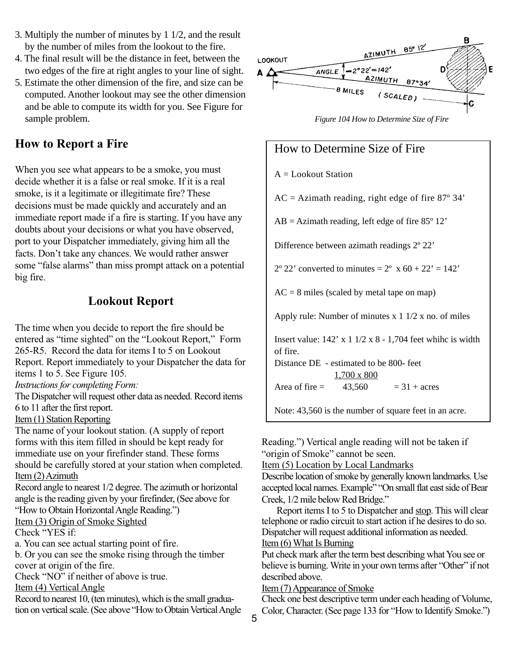- 3. Multiply the number of minutes by 1 1/2, and the result by the number of miles from the lookout to the fire.
- 4. The final result will be the distance in feet, between the two edges of the fire at right angles to your line of sight.
- 5. Estimate the other dimension of the fire, and size can be computed. Another lookout may see the other dimension and be able to compute its width for you. See Figure for sample problem.

## **How to Report a Fire**

When you see what appears to be a smoke, you must decide whether it is a false or real smoke. If it is a real smoke, is it a legitimate or illegitimate fire? These decisions must be made quickly and accurately and an immediate report made if a fire is starting. If you have any doubts about your decisions or what you have observed, port to your Dispatcher immediately, giving him all the facts. Don't take any chances. We would rather answer some "false alarms" than miss prompt attack on a potential big fire.

## **Lookout Report**

The time when you decide to report the fire should be entered as "time sighted" on the "Lookout Report," Form 265-R5. Record the data for items I to 5 on Lookout Report. Report immediately to your Dispatcher the data for items 1 to 5. See Figure 105.

*Instructions for completing Form:*

The Dispatcher will request other data as needed. Record items 6 to 11 after the first report.

#### Item (1) Station Reporting

The name of your lookout station. (A supply of report forms with this item filled in should be kept ready for immediate use on your firefinder stand. These forms should be carefully stored at your station when completed. Item (2) Azimuth

Record angle to nearest 1/2 degree. The azimuth or horizontal angle is the reading given by your firefinder, (See above for "How to Obtain Horizontal Angle Reading.")

Item (3) Origin of Smoke Sighted Check "YES if:

a. You can see actual starting point of fire.

b. Or you can see the smoke rising through the timber cover at origin of the fire.

Check "NO" if neither of above is true.

#### Item (4) Vertical Angle

Record to nearest 10, (ten minutes), which is the small graduation on vertical scale. (See above "How to Obtain Vertical Angle



*Figure 104 How to Determine Size of Fire*

## How to Determine Size of Fire

#### $A =$ Lookout Station

 $AC = Azimath$  reading, right edge of fire 87 $\degree$  34'

 $AB = Azimath$  reading, left edge of fire 85 $^{\circ}$  12'

Difference between azimath readings 2º 22'

 $2^{\circ}$  22' converted to minutes =  $2^{\circ}$  x 60 + 22' = 142'

 $AC = 8$  miles (scaled by metal tape on map)

Apply rule: Number of minutes  $x \frac{1}{2} \frac{1}{2} x$  no. of miles

Insert value: 142' x 1 1/2 x 8 - 1,704 feet whihc is width of fire.

Distance DE - estimated to be 800- feet 1,700 x 800

Area of fire  $=$  43,560  $=$  31 + acres

Note: 43,560 is the number of square feet in an acre.

Reading.") Vertical angle reading will not be taken if "origin of Smoke" cannot be seen.

Item (5) Location by Local Landmarks

Describe location of smoke by generally known landmarks. Use accepted local names. Example" "On small flat east side of Bear Creek, 1/2 mile below Red Bridge."

Report items I to 5 to Dispatcher and stop. This will clear telephone or radio circuit to start action if he desires to do so. Dispatcher will request additional information as needed. Item (6) What Is Burning

Put check mark after the term best describing what You see or believe is burning. Write in your own terms after "Other" if not described above.

Item (7) Appearance of Smoke

Check one best descriptive term under each heading of Volume, Color, Character. (See page 133 for "How to Identify Smoke.")